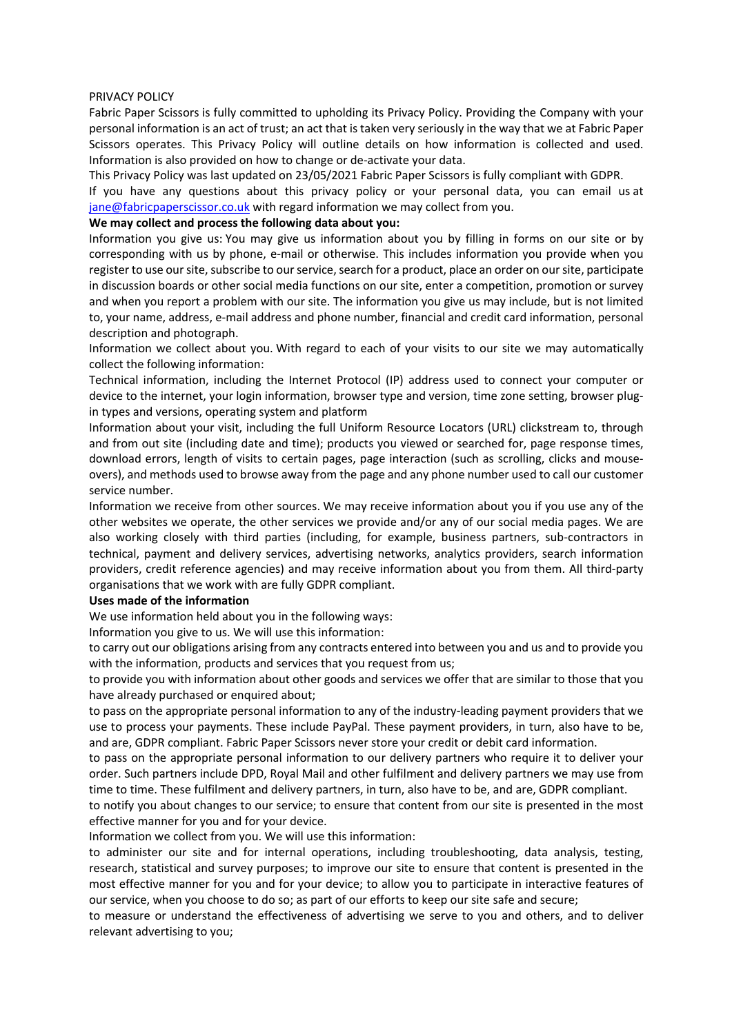#### PRIVACY POLICY

Fabric Paper Scissors is fully committed to upholding its Privacy Policy. Providing the Company with your personal information is an act of trust; an act that is taken very seriously in the way that we at Fabric Paper Scissors operates. This Privacy Policy will outline details on how information is collected and used. Information is also provided on how to change or de-activate your data.

This Privacy Policy was last updated on 23/05/2021 Fabric Paper Scissors is fully compliant with GDPR.

If you have any questions about this privacy policy or your personal data, you can email us at jane@fabricpaperscissor.co.uk with regard information we may collect from you.

# **We may collect and process the following data about you:**

Information you give us: You may give us information about you by filling in forms on our site or by corresponding with us by phone, e-mail or otherwise. This includes information you provide when you register to use our site, subscribe to our service, search for a product, place an order on our site, participate in discussion boards or other social media functions on our site, enter a competition, promotion or survey and when you report a problem with our site. The information you give us may include, but is not limited to, your name, address, e-mail address and phone number, financial and credit card information, personal description and photograph.

Information we collect about you. With regard to each of your visits to our site we may automatically collect the following information:

Technical information, including the Internet Protocol (IP) address used to connect your computer or device to the internet, your login information, browser type and version, time zone setting, browser plugin types and versions, operating system and platform

Information about your visit, including the full Uniform Resource Locators (URL) clickstream to, through and from out site (including date and time); products you viewed or searched for, page response times, download errors, length of visits to certain pages, page interaction (such as scrolling, clicks and mouseovers), and methods used to browse away from the page and any phone number used to call our customer service number.

Information we receive from other sources. We may receive information about you if you use any of the other websites we operate, the other services we provide and/or any of our social media pages. We are also working closely with third parties (including, for example, business partners, sub-contractors in technical, payment and delivery services, advertising networks, analytics providers, search information providers, credit reference agencies) and may receive information about you from them. All third-party organisations that we work with are fully GDPR compliant.

# **Uses made of the information**

We use information held about you in the following ways:

Information you give to us. We will use this information:

to carry out our obligations arising from any contracts entered into between you and us and to provide you with the information, products and services that you request from us;

to provide you with information about other goods and services we offer that are similar to those that you have already purchased or enquired about;

to pass on the appropriate personal information to any of the industry-leading payment providers that we use to process your payments. These include PayPal. These payment providers, in turn, also have to be, and are, GDPR compliant. Fabric Paper Scissors never store your credit or debit card information.

to pass on the appropriate personal information to our delivery partners who require it to deliver your order. Such partners include DPD, Royal Mail and other fulfilment and delivery partners we may use from time to time. These fulfilment and delivery partners, in turn, also have to be, and are, GDPR compliant.

to notify you about changes to our service; to ensure that content from our site is presented in the most effective manner for you and for your device.

Information we collect from you. We will use this information:

to administer our site and for internal operations, including troubleshooting, data analysis, testing, research, statistical and survey purposes; to improve our site to ensure that content is presented in the most effective manner for you and for your device; to allow you to participate in interactive features of our service, when you choose to do so; as part of our efforts to keep our site safe and secure;

to measure or understand the effectiveness of advertising we serve to you and others, and to deliver relevant advertising to you;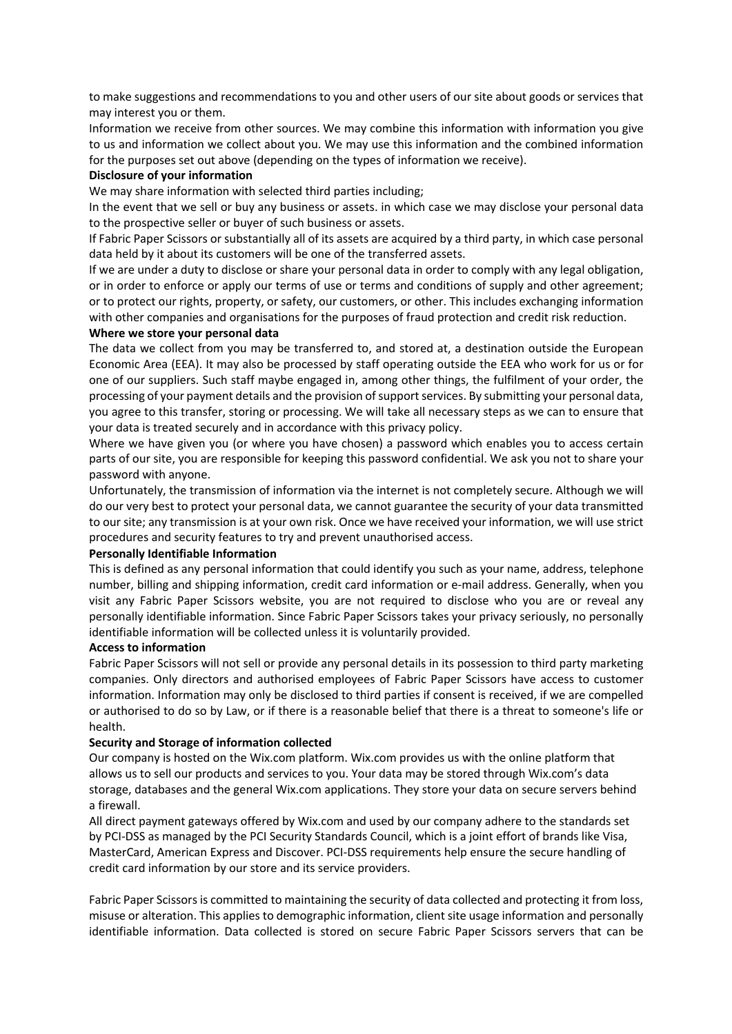to make suggestions and recommendations to you and other users of our site about goods or services that may interest you or them.

Information we receive from other sources. We may combine this information with information you give to us and information we collect about you. We may use this information and the combined information for the purposes set out above (depending on the types of information we receive).

## **Disclosure of your information**

We may share information with selected third parties including;

In the event that we sell or buy any business or assets. in which case we may disclose your personal data to the prospective seller or buyer of such business or assets.

If Fabric Paper Scissors or substantially all of its assets are acquired by a third party, in which case personal data held by it about its customers will be one of the transferred assets.

If we are under a duty to disclose or share your personal data in order to comply with any legal obligation, or in order to enforce or apply our terms of use or terms and conditions of supply and other agreement; or to protect our rights, property, or safety, our customers, or other. This includes exchanging information with other companies and organisations for the purposes of fraud protection and credit risk reduction.

#### **Where we store your personal data**

The data we collect from you may be transferred to, and stored at, a destination outside the European Economic Area (EEA). It may also be processed by staff operating outside the EEA who work for us or for one of our suppliers. Such staff maybe engaged in, among other things, the fulfilment of your order, the processing of your payment details and the provision of support services. By submitting your personal data, you agree to this transfer, storing or processing. We will take all necessary steps as we can to ensure that your data is treated securely and in accordance with this privacy policy.

Where we have given you (or where you have chosen) a password which enables you to access certain parts of our site, you are responsible for keeping this password confidential. We ask you not to share your password with anyone.

Unfortunately, the transmission of information via the internet is not completely secure. Although we will do our very best to protect your personal data, we cannot guarantee the security of your data transmitted to our site; any transmission is at your own risk. Once we have received your information, we will use strict procedures and security features to try and prevent unauthorised access.

#### **Personally Identifiable Information**

This is defined as any personal information that could identify you such as your name, address, telephone number, billing and shipping information, credit card information or e-mail address. Generally, when you visit any Fabric Paper Scissors website, you are not required to disclose who you are or reveal any personally identifiable information. Since Fabric Paper Scissors takes your privacy seriously, no personally identifiable information will be collected unless it is voluntarily provided.

#### **Access to information**

Fabric Paper Scissors will not sell or provide any personal details in its possession to third party marketing companies. Only directors and authorised employees of Fabric Paper Scissors have access to customer information. Information may only be disclosed to third parties if consent is received, if we are compelled or authorised to do so by Law, or if there is a reasonable belief that there is a threat to someone's life or health.

## **Security and Storage of information collected**

Our company is hosted on the Wix.com platform. Wix.com provides us with the online platform that allows us to sell our products and services to you. Your data may be stored through Wix.com's data storage, databases and the general Wix.com applications. They store your data on secure servers behind a firewall.

All direct payment gateways offered by Wix.com and used by our company adhere to the standards set by PCI-DSS as managed by the PCI Security Standards Council, which is a joint effort of brands like Visa, MasterCard, American Express and Discover. PCI-DSS requirements help ensure the secure handling of credit card information by our store and its service providers.

Fabric Paper Scissors is committed to maintaining the security of data collected and protecting it from loss, misuse or alteration. This applies to demographic information, client site usage information and personally identifiable information. Data collected is stored on secure Fabric Paper Scissors servers that can be